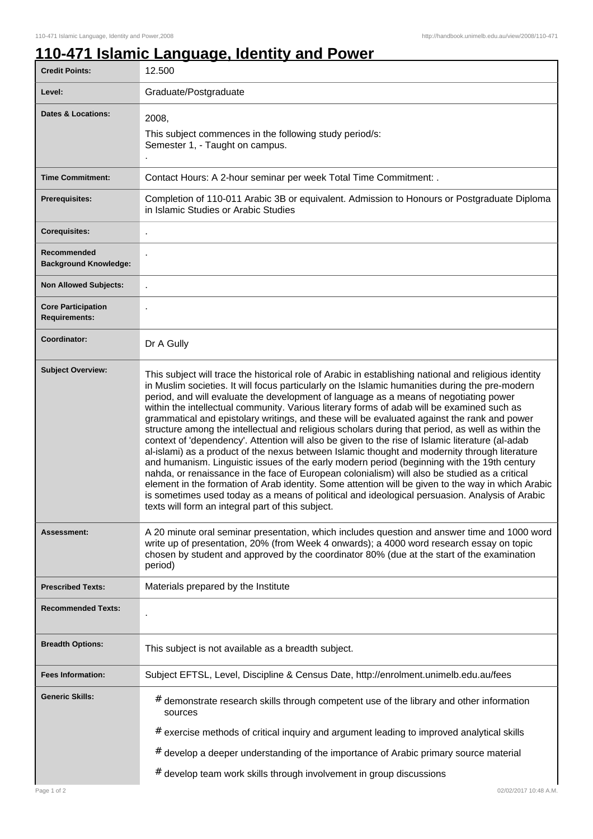## **110-471 Islamic Language, Identity and Power**

| <b>Credit Points:</b>                             | 12.500                                                                                                                                                                                                                                                                                                                                                                                                                                                                                                                                                                                                                                                                                                                                                                                                                                                                                                                                                                                                                                                                                                                                                                                                                                                                |
|---------------------------------------------------|-----------------------------------------------------------------------------------------------------------------------------------------------------------------------------------------------------------------------------------------------------------------------------------------------------------------------------------------------------------------------------------------------------------------------------------------------------------------------------------------------------------------------------------------------------------------------------------------------------------------------------------------------------------------------------------------------------------------------------------------------------------------------------------------------------------------------------------------------------------------------------------------------------------------------------------------------------------------------------------------------------------------------------------------------------------------------------------------------------------------------------------------------------------------------------------------------------------------------------------------------------------------------|
| Level:                                            | Graduate/Postgraduate                                                                                                                                                                                                                                                                                                                                                                                                                                                                                                                                                                                                                                                                                                                                                                                                                                                                                                                                                                                                                                                                                                                                                                                                                                                 |
| Dates & Locations:                                | 2008,<br>This subject commences in the following study period/s:                                                                                                                                                                                                                                                                                                                                                                                                                                                                                                                                                                                                                                                                                                                                                                                                                                                                                                                                                                                                                                                                                                                                                                                                      |
|                                                   | Semester 1, - Taught on campus.                                                                                                                                                                                                                                                                                                                                                                                                                                                                                                                                                                                                                                                                                                                                                                                                                                                                                                                                                                                                                                                                                                                                                                                                                                       |
| <b>Time Commitment:</b>                           | Contact Hours: A 2-hour seminar per week Total Time Commitment: .                                                                                                                                                                                                                                                                                                                                                                                                                                                                                                                                                                                                                                                                                                                                                                                                                                                                                                                                                                                                                                                                                                                                                                                                     |
| <b>Prerequisites:</b>                             | Completion of 110-011 Arabic 3B or equivalent. Admission to Honours or Postgraduate Diploma<br>in Islamic Studies or Arabic Studies                                                                                                                                                                                                                                                                                                                                                                                                                                                                                                                                                                                                                                                                                                                                                                                                                                                                                                                                                                                                                                                                                                                                   |
| <b>Corequisites:</b>                              |                                                                                                                                                                                                                                                                                                                                                                                                                                                                                                                                                                                                                                                                                                                                                                                                                                                                                                                                                                                                                                                                                                                                                                                                                                                                       |
| Recommended<br><b>Background Knowledge:</b>       |                                                                                                                                                                                                                                                                                                                                                                                                                                                                                                                                                                                                                                                                                                                                                                                                                                                                                                                                                                                                                                                                                                                                                                                                                                                                       |
| <b>Non Allowed Subjects:</b>                      | ٠                                                                                                                                                                                                                                                                                                                                                                                                                                                                                                                                                                                                                                                                                                                                                                                                                                                                                                                                                                                                                                                                                                                                                                                                                                                                     |
| <b>Core Participation</b><br><b>Requirements:</b> |                                                                                                                                                                                                                                                                                                                                                                                                                                                                                                                                                                                                                                                                                                                                                                                                                                                                                                                                                                                                                                                                                                                                                                                                                                                                       |
| Coordinator:                                      | Dr A Gully                                                                                                                                                                                                                                                                                                                                                                                                                                                                                                                                                                                                                                                                                                                                                                                                                                                                                                                                                                                                                                                                                                                                                                                                                                                            |
| <b>Subject Overview:</b>                          | This subject will trace the historical role of Arabic in establishing national and religious identity<br>in Muslim societies. It will focus particularly on the Islamic humanities during the pre-modern<br>period, and will evaluate the development of language as a means of negotiating power<br>within the intellectual community. Various literary forms of adab will be examined such as<br>grammatical and epistolary writings, and these will be evaluated against the rank and power<br>structure among the intellectual and religious scholars during that period, as well as within the<br>context of 'dependency'. Attention will also be given to the rise of Islamic literature (al-adab<br>al-islami) as a product of the nexus between Islamic thought and modernity through literature<br>and humanism. Linguistic issues of the early modern period (beginning with the 19th century<br>nahda, or renaissance in the face of European colonialism) will also be studied as a critical<br>element in the formation of Arab identity. Some attention will be given to the way in which Arabic<br>is sometimes used today as a means of political and ideological persuasion. Analysis of Arabic<br>texts will form an integral part of this subject. |
| Assessment:                                       | A 20 minute oral seminar presentation, which includes question and answer time and 1000 word<br>write up of presentation, 20% (from Week 4 onwards); a 4000 word research essay on topic<br>chosen by student and approved by the coordinator 80% (due at the start of the examination<br>period)                                                                                                                                                                                                                                                                                                                                                                                                                                                                                                                                                                                                                                                                                                                                                                                                                                                                                                                                                                     |
| <b>Prescribed Texts:</b>                          | Materials prepared by the Institute                                                                                                                                                                                                                                                                                                                                                                                                                                                                                                                                                                                                                                                                                                                                                                                                                                                                                                                                                                                                                                                                                                                                                                                                                                   |
| <b>Recommended Texts:</b>                         |                                                                                                                                                                                                                                                                                                                                                                                                                                                                                                                                                                                                                                                                                                                                                                                                                                                                                                                                                                                                                                                                                                                                                                                                                                                                       |
| <b>Breadth Options:</b>                           | This subject is not available as a breadth subject.                                                                                                                                                                                                                                                                                                                                                                                                                                                                                                                                                                                                                                                                                                                                                                                                                                                                                                                                                                                                                                                                                                                                                                                                                   |
| <b>Fees Information:</b>                          | Subject EFTSL, Level, Discipline & Census Date, http://enrolment.unimelb.edu.au/fees                                                                                                                                                                                                                                                                                                                                                                                                                                                                                                                                                                                                                                                                                                                                                                                                                                                                                                                                                                                                                                                                                                                                                                                  |
| <b>Generic Skills:</b>                            | # demonstrate research skills through competent use of the library and other information<br>sources                                                                                                                                                                                                                                                                                                                                                                                                                                                                                                                                                                                                                                                                                                                                                                                                                                                                                                                                                                                                                                                                                                                                                                   |
|                                                   | # exercise methods of critical inquiry and argument leading to improved analytical skills                                                                                                                                                                                                                                                                                                                                                                                                                                                                                                                                                                                                                                                                                                                                                                                                                                                                                                                                                                                                                                                                                                                                                                             |
|                                                   | # develop a deeper understanding of the importance of Arabic primary source material                                                                                                                                                                                                                                                                                                                                                                                                                                                                                                                                                                                                                                                                                                                                                                                                                                                                                                                                                                                                                                                                                                                                                                                  |
|                                                   | # develop team work skills through involvement in group discussions                                                                                                                                                                                                                                                                                                                                                                                                                                                                                                                                                                                                                                                                                                                                                                                                                                                                                                                                                                                                                                                                                                                                                                                                   |